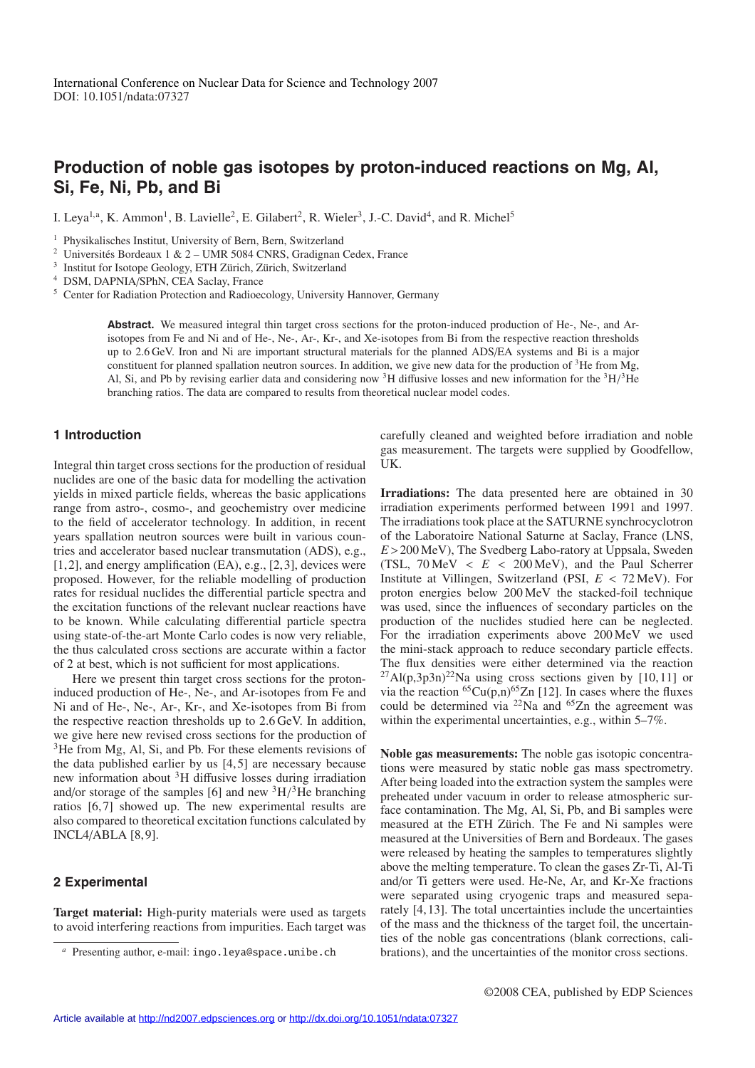# **Production of noble gas isotopes by proton-induced reactions on Mg, Al, Si, Fe, Ni, Pb, and Bi**

I. Leya<sup>1,a</sup>, K. Ammon<sup>1</sup>, B. Lavielle<sup>2</sup>, E. Gilabert<sup>2</sup>, R. Wieler<sup>3</sup>, J.-C. David<sup>4</sup>, and R. Michel<sup>5</sup>

<sup>1</sup> Physikalisches Institut, University of Bern, Bern, Switzerland

<sup>2</sup> Universités Bordeaux 1 & 2 – UMR 5084 CNRS, Gradignan Cedex, France

 $3$  Institut for Isotope Geology, ETH Zürich, Zürich, Switzerland

<sup>4</sup> DSM, DAPNIA/SPhN, CEA Saclay, France

<sup>5</sup> Center for Radiation Protection and Radioecology, University Hannover, Germany

**Abstract.** We measured integral thin target cross sections for the proton-induced production of He-, Ne-, and Arisotopes from Fe and Ni and of He-, Ne-, Ar-, Kr-, and Xe-isotopes from Bi from the respective reaction thresholds up to 2.6 GeV. Iron and Ni are important structural materials for the planned ADS/EA systems and Bi is a major constituent for planned spallation neutron sources. In addition, we give new data for the production of 3He from Mg, Al, Si, and Pb by revising earlier data and considering now <sup>3</sup>H diffusive losses and new information for the  ${}^{3}H/{}^{3}He$ branching ratios. The data are compared to results from theoretical nuclear model codes.

## **1 Introduction**

Integral thin target cross sections for the production of residual nuclides are one of the basic data for modelling the activation yields in mixed particle fields, whereas the basic applications range from astro-, cosmo-, and geochemistry over medicine to the field of accelerator technology. In addition, in recent years spallation neutron sources were built in various countries and accelerator based nuclear transmutation (ADS), e.g., [1, 2], and energy amplification (EA), e.g., [2, 3], devices were proposed. However, for the reliable modelling of production rates for residual nuclides the differential particle spectra and the excitation functions of the relevant nuclear reactions have to be known. While calculating differential particle spectra using state-of-the-art Monte Carlo codes is now very reliable, the thus calculated cross sections are accurate within a factor of 2 at best, which is not sufficient for most applications.

Here we present thin target cross sections for the protoninduced production of He-, Ne-, and Ar-isotopes from Fe and Ni and of He-, Ne-, Ar-, Kr-, and Xe-isotopes from Bi from the respective reaction thresholds up to 2.6 GeV. In addition, we give here new revised cross sections for the production of <sup>3</sup>He from Mg, Al, Si, and Pb. For these elements revisions of the data published earlier by us  $[4, 5]$  are necessary because new information about  ${}^{3}H$  diffusive losses during irradiation and/or storage of the samples [6] and new  ${}^{3}H/{}^{3}He$  branching ratios [6, 7] showed up. The new experimental results are also compared to theoretical excitation functions calculated by  $INCLA/ABLA [8,9].$ 

# **2 Experimental**

**Target material:** High-purity materials were used as targets to avoid interfering reactions from impurities. Each target was carefully cleaned and weighted before irradiation and noble gas measurement. The targets were supplied by Goodfellow, UK.

**Irradiations:** The data presented here are obtained in 30 irradiation experiments performed between 1991 and 1997. The irradiations took place at the SATURNE synchrocyclotron of the Laboratoire National Saturne at Saclay, France (LNS, *E*>200 MeV), The Svedberg Labo-ratory at Uppsala, Sweden (TSL,  $70 \text{ MeV} < E < 200 \text{ MeV}$ ), and the Paul Scherrer Institute at Villingen, Switzerland (PSI, *E* < 72 MeV). For proton energies below 200 MeV the stacked-foil technique was used, since the influences of secondary particles on the production of the nuclides studied here can be neglected. For the irradiation experiments above 200 MeV we used the mini-stack approach to reduce secondary particle effects. The flux densities were either determined via the reaction  $^{27}$ Al(p,3p3n)<sup>22</sup>Na using cross sections given by [10,11] or via the reaction  ${}^{65}Cu(p,n){}^{65}Zn$  [12]. In cases where the fluxes could be determined via  $^{22}$ Na and  $^{65}$ Zn the agreement was within the experimental uncertainties, e.g., within  $5-7\%$ .

**Noble gas measurements:** The noble gas isotopic concentrations were measured by static noble gas mass spectrometry. After being loaded into the extraction system the samples were preheated under vacuum in order to release atmospheric surface contamination. The Mg, Al, Si, Pb, and Bi samples were measured at the ETH Zürich. The Fe and Ni samples were measured at the Universities of Bern and Bordeaux. The gases were released by heating the samples to temperatures slightly above the melting temperature. To clean the gases Zr-Ti, Al-Ti and/or Ti getters were used. He-Ne, Ar, and Kr-Xe fractions were separated using cryogenic traps and measured separately [4, 13]. The total uncertainties include the uncertainties of the mass and the thickness of the target foil, the uncertainties of the noble gas concentrations (blank corrections, calibrations), and the uncertainties of the monitor cross sections.

*<sup>a</sup>* Presenting author, e-mail: ingo.leya@space.unibe.ch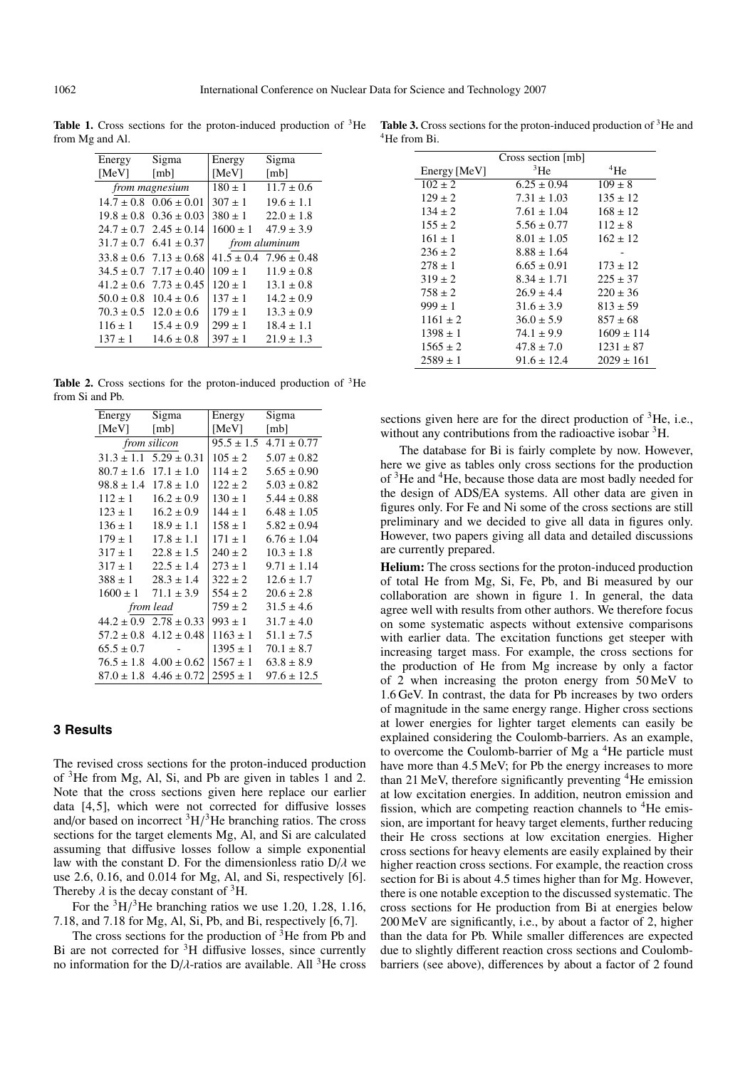Table 1. Cross sections for the proton-induced production of <sup>3</sup>He from Mg and Al.

| Energy                | Sigma                          | Energy        | Sigma                          |
|-----------------------|--------------------------------|---------------|--------------------------------|
| [MeV]                 | [mb]                           | [MeV]         | [mb]                           |
| <i>from magnesium</i> |                                | $180 \pm 1$   | $11.7 \pm 0.6$                 |
| $14.7 + 0.8$          | $0.06 \pm 0.01$                | $307 + 1$     | $19.6 \pm 1.1$                 |
|                       | $19.8 \pm 0.8$ $0.36 \pm 0.03$ | $380 \pm 1$   | $22.0 \pm 1.8$                 |
|                       | $24.7 \pm 0.7$ $2.45 \pm 0.14$ | $1600 \pm 1$  | $47.9 \pm 3.9$                 |
| $31.7 \pm 0.7$        | $6.41 \pm 0.37$                | from aluminum |                                |
| $33.8 \pm 0.6$        | $7.13 \pm 0.68$                |               | $41.5 \pm 0.4$ 7.96 $\pm 0.48$ |
| $34.5 + 0.7$          | $7.17 \pm 0.40$                | $109 \pm 1$   | $11.9 \pm 0.8$                 |
| $41.2 \pm 0.6$        | $7.73 \pm 0.45$                | $120 \pm 1$   | $13.1 \pm 0.8$                 |
| $50.0 \pm 0.8$        | $10.4 \pm 0.6$                 | $137 \pm 1$   | $14.2 \pm 0.9$                 |
| $70.3 \pm 0.5$        | $12.0 \pm 0.6$                 | $179 \pm 1$   | $13.3 \pm 0.9$                 |
| $116 \pm 1$           | $15.4 \pm 0.9$                 | $299 \pm 1$   | $18.4 \pm 1.1$                 |
| $137 \pm 1$           | $14.6 \pm 0.8$                 | $397 \pm 1$   | $21.9 \pm 1.3$                 |

**Table 2.** Cross sections for the proton-induced production of 3He from Si and Pb.

| Energy               | Sigma                          | Energy         | Sigma           |  |
|----------------------|--------------------------------|----------------|-----------------|--|
| [MeV] $\blacksquare$ | [mb]                           | [MeV]          | mb              |  |
| <i>from silicon</i>  |                                | $95.5 \pm 1.5$ | $4.71 \pm 0.77$ |  |
|                      | $31.3 \pm 1.1$ $5.29 \pm 0.31$ | $105 \pm 2$    | $5.07 \pm 0.82$ |  |
| $80.7 \pm 1.6$       | $17.1 \pm 1.0$                 | $114 \pm 2$    | $5.65 \pm 0.90$ |  |
|                      | $98.8 \pm 1.4$ $17.8 \pm 1.0$  | $122 \pm 2$    | $5.03 \pm 0.82$ |  |
| $112 \pm 1$          | $16.2 \pm 0.9$                 | $130 \pm 1$    | $5.44 \pm 0.88$ |  |
| $123 \pm 1$          | $16.2 \pm 0.9$                 | $144 \pm 1$    | $6.48 \pm 1.05$ |  |
| $136 \pm 1$          | $18.9 \pm 1.1$                 | $158 \pm 1$    | $5.82 \pm 0.94$ |  |
| $179 \pm 1$          | $17.8 \pm 1.1$                 | $171 \pm 1$    | $6.76 \pm 1.04$ |  |
| $317 \pm 1$          | $22.8 \pm 1.5$                 | $240 \pm 2$    | $10.3 \pm 1.8$  |  |
| $317 \pm 1$          | $22.5 \pm 1.4$                 | $273 \pm 1$    | $9.71 \pm 1.14$ |  |
| $388 \pm 1$          | $28.3 \pm 1.4$                 | $322 \pm 2$    | $12.6 \pm 1.7$  |  |
| $1600 \pm 1$         | $71.1 \pm 3.9$                 | $554 \pm 2$    | $20.6 \pm 2.8$  |  |
| from lead            |                                | $759 \pm 2$    | $31.5 \pm 4.6$  |  |
| $44.2 \pm 0.9$       | $2.78 \pm 0.33$                | $993 \pm 1$    | $31.7 \pm 4.0$  |  |
| $57.2 \pm 0.8$       | $4.12 \pm 0.48$                | $1163 \pm 1$   | $51.1 \pm 7.5$  |  |
| $65.5 \pm 0.7$       |                                | $1395 \pm 1$   | $70.1 \pm 8.7$  |  |
|                      | $76.5 \pm 1.8$ 4.00 $\pm$ 0.62 | $1567 \pm 1$   | $63.8 \pm 8.9$  |  |
|                      | $87.0 \pm 1.8$ 4.46 $\pm$ 0.72 | $2595 \pm 1$   | $97.6 \pm 12.5$ |  |

#### **3 Results**

The revised cross sections for the proton-induced production of 3He from Mg, Al, Si, and Pb are given in tables 1 and 2. Note that the cross sections given here replace our earlier data [4, 5], which were not corrected for diffusive losses and/or based on incorrect  ${}^{3}H/{}^{3}He$  branching ratios. The cross sections for the target elements Mg, Al, and Si are calculated assuming that diffusive losses follow a simple exponential law with the constant D. For the dimensionless ratio  $D/\lambda$  we use 2.6, 0.16, and 0.014 for Mg, Al, and Si, respectively [6]. Thereby  $\lambda$  is the decay constant of <sup>3</sup>H.

For the  ${}^{3}H/{}^{3}He$  branching ratios we use 1.20, 1.28, 1.16, 7.18, and 7.18 for Mg, Al, Si, Pb, and Bi, respectively [6, 7].

The cross sections for the production of  $3$ He from Pb and Bi are not corrected for  ${}^{3}H$  diffusive losses, since currently no information for the  $D/\lambda$ -ratios are available. All <sup>3</sup>He cross

Table 3. Cross sections for the proton-induced production of <sup>3</sup>He and 4He from Bi.

|              | Cross section [mb] |                |
|--------------|--------------------|----------------|
| Energy [MeV] | 3He                | $4$ He         |
| $102 \pm 2$  | $6.25 \pm 0.94$    | $109 \pm 8$    |
| $129 \pm 2$  | $7.31 \pm 1.03$    | $135 \pm 12$   |
| $134 \pm 2$  | $7.61 \pm 1.04$    | $168 \pm 12$   |
| $155 \pm 2$  | $5.56 \pm 0.77$    | $112 \pm 8$    |
| $161 \pm 1$  | $8.01 \pm 1.05$    | $162 \pm 12$   |
| $236 \pm 2$  | $8.88 \pm 1.64$    |                |
| $278 \pm 1$  | $6.65 \pm 0.91$    | $173 \pm 12$   |
| $319 \pm 2$  | $8.34 \pm 1.71$    | $225 \pm 37$   |
| $758 \pm 2$  | $26.9 \pm 4.4$     | $220 \pm 36$   |
| $999 \pm 1$  | $31.6 \pm 3.9$     | $813 \pm 59$   |
| $1161 \pm 2$ | $36.0 \pm 5.9$     | $857 \pm 68$   |
| $1398 \pm 1$ | $74.1 \pm 9.9$     | $1609 \pm 114$ |
| $1565 \pm 2$ | $47.8 \pm 7.0$     | $1231 \pm 87$  |
| $2589 \pm 1$ | $91.6 \pm 12.4$    | $2029 \pm 161$ |

sections given here are for the direct production of  ${}^{3}$ He, i.e., without any contributions from the radioactive isobar <sup>3</sup>H.

The database for Bi is fairly complete by now. However, here we give as tables only cross sections for the production of 3He and 4He, because those data are most badly needed for the design of ADS/EA systems. All other data are given in figures only. For Fe and Ni some of the cross sections are still preliminary and we decided to give all data in figures only. However, two papers giving all data and detailed discussions are currently prepared.

**Helium:** The cross sections for the proton-induced production of total He from Mg, Si, Fe, Pb, and Bi measured by our collaboration are shown in figure 1. In general, the data agree well with results from other authors. We therefore focus on some systematic aspects without extensive comparisons with earlier data. The excitation functions get steeper with increasing target mass. For example, the cross sections for the production of He from Mg increase by only a factor of 2 when increasing the proton energy from 50 MeV to 1.6 GeV. In contrast, the data for Pb increases by two orders of magnitude in the same energy range. Higher cross sections at lower energies for lighter target elements can easily be explained considering the Coulomb-barriers. As an example, to overcome the Coulomb-barrier of Mg a 4He particle must have more than 4.5 MeV; for Pb the energy increases to more than 21 MeV, therefore significantly preventing <sup>4</sup>He emission at low excitation energies. In addition, neutron emission and fission, which are competing reaction channels to <sup>4</sup>He emission, are important for heavy target elements, further reducing their He cross sections at low excitation energies. Higher cross sections for heavy elements are easily explained by their higher reaction cross sections. For example, the reaction cross section for Bi is about 4.5 times higher than for Mg. However, there is one notable exception to the discussed systematic. The cross sections for He production from Bi at energies below 200 MeV are significantly, i.e., by about a factor of 2, higher than the data for Pb. While smaller differences are expected due to slightly different reaction cross sections and Coulombbarriers (see above), differences by about a factor of 2 found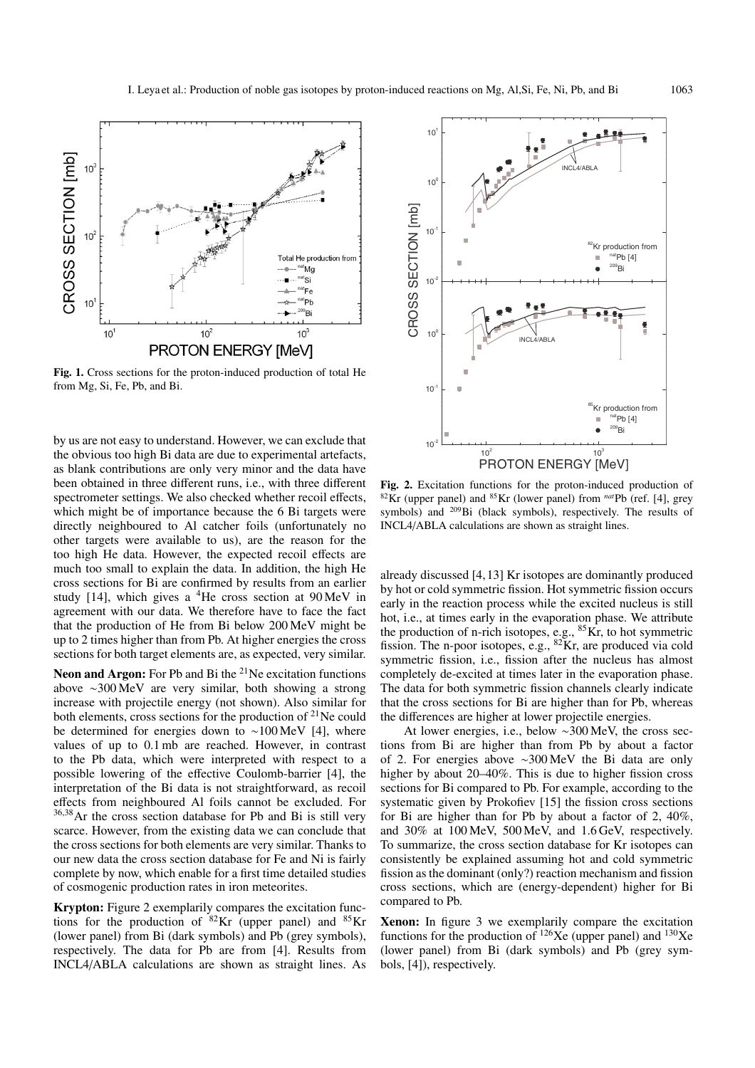

**Fig. 1.** Cross sections for the proton-induced production of total He from Mg, Si, Fe, Pb, and Bi.

by us are not easy to understand. However, we can exclude that the obvious too high Bi data are due to experimental artefacts, as blank contributions are only very minor and the data have been obtained in three different runs, i.e., with three different spectrometer settings. We also checked whether recoil effects, which might be of importance because the 6 Bi targets were directly neighboured to Al catcher foils (unfortunately no other targets were available to us), are the reason for the too high He data. However, the expected recoil effects are much too small to explain the data. In addition, the high He cross sections for Bi are confirmed by results from an earlier study [14], which gives a  $4$ He cross section at  $90$ MeV in agreement with our data. We therefore have to face the fact that the production of He from Bi below 200 MeV might be up to 2 times higher than from Pb. At higher energies the cross sections for both target elements are, as expected, very similar.

**Neon and Argon:** For Pb and Bi the <sup>21</sup>Ne excitation functions above ∼300 MeV are very similar, both showing a strong increase with projectile energy (not shown). Also similar for both elements, cross sections for the production of <sup>21</sup>Ne could be determined for energies down to ∼100 MeV [4], where values of up to 0.1 mb are reached. However, in contrast to the Pb data, which were interpreted with respect to a possible lowering of the effective Coulomb-barrier [4], the interpretation of the Bi data is not straightforward, as recoil effects from neighboured Al foils cannot be excluded. For <sup>36</sup>,38Ar the cross section database for Pb and Bi is still very scarce. However, from the existing data we can conclude that the cross sections for both elements are very similar. Thanks to our new data the cross section database for Fe and Ni is fairly complete by now, which enable for a first time detailed studies of cosmogenic production rates in iron meteorites.

**Krypton:** Figure 2 exemplarily compares the excitation functions for the production of  ${}^{82}$ Kr (upper panel) and  ${}^{85}$ Kr (lower panel) from Bi (dark symbols) and Pb (grey symbols), respectively. The data for Pb are from [4]. Results from INCL4/ABLA calculations are shown as straight lines. As



**Fig. 2.** Excitation functions for the proton-induced production of 82Kr (upper panel) and 85Kr (lower panel) from *nat*Pb (ref. [4], grey symbols) and 209Bi (black symbols), respectively. The results of INCL4/ABLA calculations are shown as straight lines.

already discussed [4, 13] Kr isotopes are dominantly produced by hot or cold symmetric fission. Hot symmetric fission occurs early in the reaction process while the excited nucleus is still hot, i.e., at times early in the evaporation phase. We attribute the production of n-rich isotopes, e.g.,  ${}^{85}$ Kr, to hot symmetric fission. The n-poor isotopes, e.g., 82Kr, are produced via cold symmetric fission, i.e., fission after the nucleus has almost completely de-excited at times later in the evaporation phase. The data for both symmetric fission channels clearly indicate that the cross sections for Bi are higher than for Pb, whereas the differences are higher at lower projectile energies.

At lower energies, i.e., below ∼300 MeV, the cross sections from Bi are higher than from Pb by about a factor of 2. For energies above ∼300 MeV the Bi data are only higher by about 20–40%. This is due to higher fission cross sections for Bi compared to Pb. For example, according to the systematic given by Prokofiev [15] the fission cross sections for Bi are higher than for Pb by about a factor of 2, 40%, and 30% at 100 MeV, 500 MeV, and 1.6 GeV, respectively. To summarize, the cross section database for Kr isotopes can consistently be explained assuming hot and cold symmetric fission as the dominant (only?) reaction mechanism and fission cross sections, which are (energy-dependent) higher for Bi compared to Pb.

**Xenon:** In figure 3 we exemplarily compare the excitation functions for the production of  $^{126}\text{Xe}$  (upper panel) and  $^{130}\text{Xe}$ (lower panel) from Bi (dark symbols) and Pb (grey symbols, [4]), respectively.